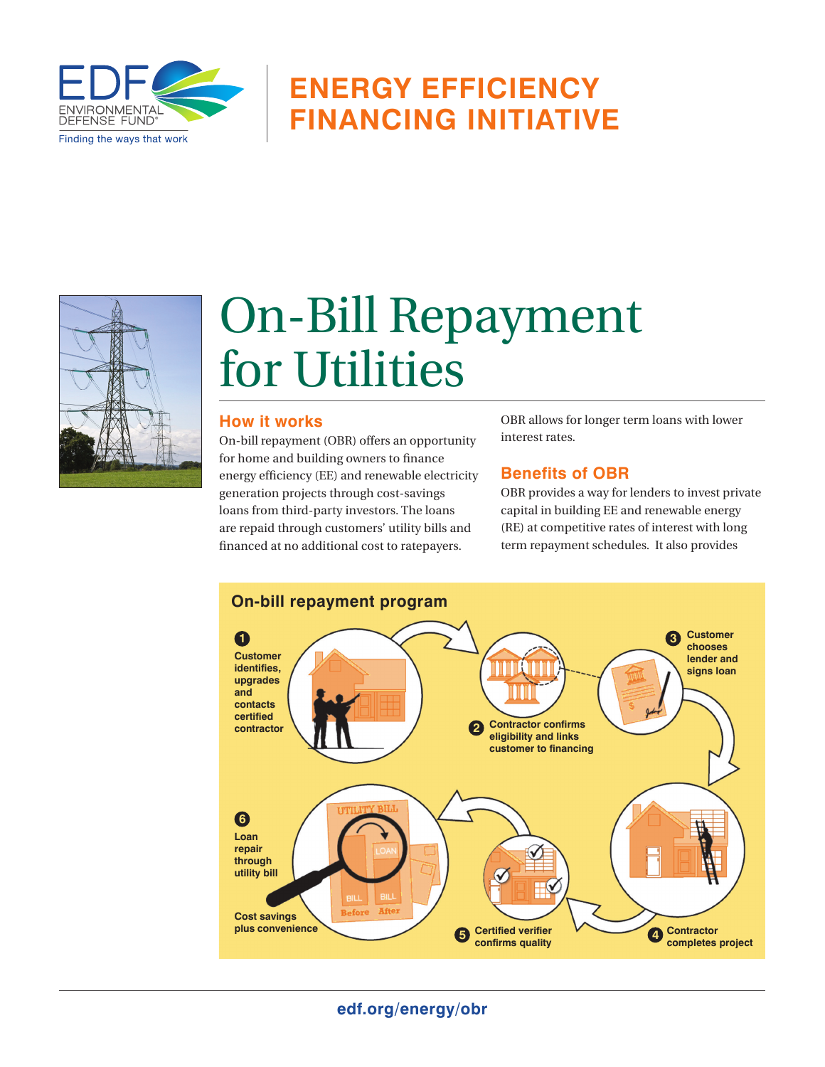

## **Energy Efficiency Financing Initiative**



# On-Bill Repayment for Utilities

### **How it works**

On-bill repayment (OBR) offers an opportunity for home and building owners to finance energy efficiency (EE) and renewable electricity generation projects through cost-savings loans from third-party investors. The loans are repaid through customers' utility bills and financed at no additional cost to ratepayers.

OBR allows for longer term loans with lower interest rates.

### **Benefits of OBR**

OBR provides a way for lenders to invest private capital in building EE and renewable energy (RE) at competitive rates of interest with long term repayment schedules. It also provides



**edf.org/energy/obr**